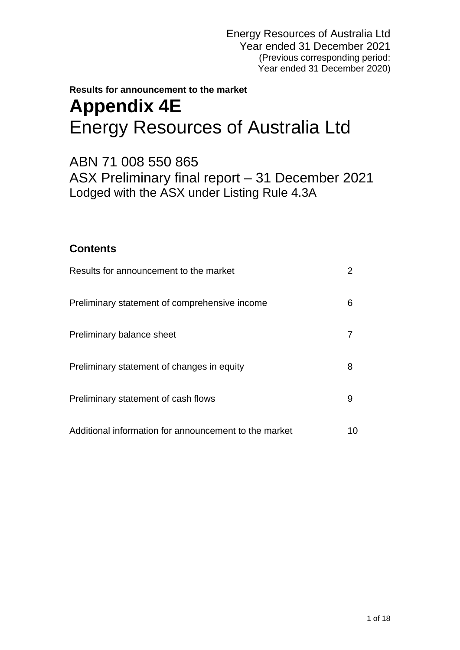# **Results for announcement to the market Appendix 4E** Energy Resources of Australia Ltd

ABN 71 008 550 865 ASX Preliminary final report – 31 December 2021 Lodged with the ASX under Listing Rule 4.3A

## **Contents**

| Results for announcement to the market                |    |
|-------------------------------------------------------|----|
| Preliminary statement of comprehensive income         | 6  |
| Preliminary balance sheet                             |    |
| Preliminary statement of changes in equity            | 8  |
| Preliminary statement of cash flows                   | 9  |
| Additional information for announcement to the market | 10 |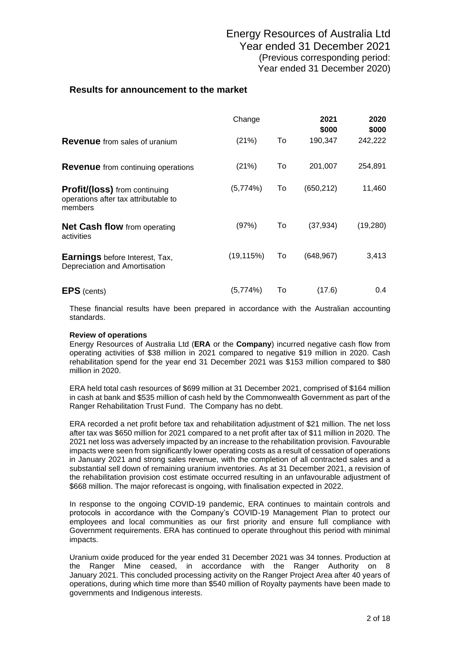### **Results for announcement to the market**

|                                                                                         | Change     |    | 2021<br>\$000 | 2020<br>\$000 |
|-----------------------------------------------------------------------------------------|------------|----|---------------|---------------|
| <b>Revenue</b> from sales of uranium                                                    | (21%)      | To | 190,347       | 242,222       |
| <b>Revenue</b> from continuing operations                                               | (21%)      | To | 201,007       | 254,891       |
| <b>Profit/(loss)</b> from continuing<br>operations after tax attributable to<br>members | (5,774%)   | To | (650, 212)    | 11,460        |
| <b>Net Cash flow</b> from operating<br>activities                                       | (97%)      | To | (37, 934)     | (19, 280)     |
| <b>Earnings</b> before Interest, Tax,<br>Depreciation and Amortisation                  | (19, 115%) | To | (648, 967)    | 3,413         |
| <b>EPS</b> (cents)                                                                      | (5,774%)   | To | (17.6)        | $0.4^{\circ}$ |

These financial results have been prepared in accordance with the Australian accounting standards.

#### **Review of operations**

Energy Resources of Australia Ltd (**ERA** or the **Company**) incurred negative cash flow from operating activities of \$38 million in 2021 compared to negative \$19 million in 2020. Cash rehabilitation spend for the year end 31 December 2021 was \$153 million compared to \$80 million in 2020.

ERA held total cash resources of \$699 million at 31 December 2021, comprised of \$164 million in cash at bank and \$535 million of cash held by the Commonwealth Government as part of the Ranger Rehabilitation Trust Fund. The Company has no debt.

ERA recorded a net profit before tax and rehabilitation adjustment of \$21 million. The net loss after tax was \$650 million for 2021 compared to a net profit after tax of \$11 million in 2020. The 2021 net loss was adversely impacted by an increase to the rehabilitation provision. Favourable impacts were seen from significantly lower operating costs as a result of cessation of operations in January 2021 and strong sales revenue, with the completion of all contracted sales and a substantial sell down of remaining uranium inventories. As at 31 December 2021, a revision of the rehabilitation provision cost estimate occurred resulting in an unfavourable adjustment of \$668 million. The major reforecast is ongoing, with finalisation expected in 2022.

In response to the ongoing COVID-19 pandemic, ERA continues to maintain controls and protocols in accordance with the Company's COVID-19 Management Plan to protect our employees and local communities as our first priority and ensure full compliance with Government requirements. ERA has continued to operate throughout this period with minimal impacts.

Uranium oxide produced for the year ended 31 December 2021 was 34 tonnes. Production at the Ranger Mine ceased, in accordance with the Ranger Authority on 8 January 2021. This concluded processing activity on the Ranger Project Area after 40 years of operations, during which time more than \$540 million of Royalty payments have been made to governments and Indigenous interests.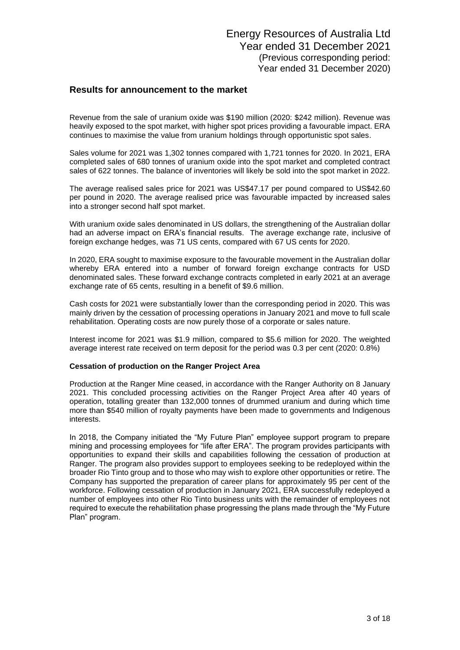#### **Results for announcement to the market**

Revenue from the sale of uranium oxide was \$190 million (2020: \$242 million). Revenue was heavily exposed to the spot market, with higher spot prices providing a favourable impact. ERA continues to maximise the value from uranium holdings through opportunistic spot sales.

Sales volume for 2021 was 1,302 tonnes compared with 1,721 tonnes for 2020. In 2021, ERA completed sales of 680 tonnes of uranium oxide into the spot market and completed contract sales of 622 tonnes. The balance of inventories will likely be sold into the spot market in 2022.

The average realised sales price for 2021 was US\$47.17 per pound compared to US\$42.60 per pound in 2020. The average realised price was favourable impacted by increased sales into a stronger second half spot market.

With uranium oxide sales denominated in US dollars, the strengthening of the Australian dollar had an adverse impact on ERA's financial results. The average exchange rate, inclusive of foreign exchange hedges, was 71 US cents, compared with 67 US cents for 2020.

In 2020, ERA sought to maximise exposure to the favourable movement in the Australian dollar whereby ERA entered into a number of forward foreign exchange contracts for USD denominated sales. These forward exchange contracts completed in early 2021 at an average exchange rate of 65 cents, resulting in a benefit of \$9.6 million.

Cash costs for 2021 were substantially lower than the corresponding period in 2020. This was mainly driven by the cessation of processing operations in January 2021 and move to full scale rehabilitation. Operating costs are now purely those of a corporate or sales nature.

Interest income for 2021 was \$1.9 million, compared to \$5.6 million for 2020. The weighted average interest rate received on term deposit for the period was 0.3 per cent (2020: 0.8%)

#### **Cessation of production on the Ranger Project Area**

Production at the Ranger Mine ceased, in accordance with the Ranger Authority on 8 January 2021. This concluded processing activities on the Ranger Project Area after 40 years of operation, totalling greater than 132,000 tonnes of drummed uranium and during which time more than \$540 million of royalty payments have been made to governments and Indigenous interests.

In 2018, the Company initiated the "My Future Plan" employee support program to prepare mining and processing employees for "life after ERA". The program provides participants with opportunities to expand their skills and capabilities following the cessation of production at Ranger. The program also provides support to employees seeking to be redeployed within the broader Rio Tinto group and to those who may wish to explore other opportunities or retire. The Company has supported the preparation of career plans for approximately 95 per cent of the workforce. Following cessation of production in January 2021, ERA successfully redeployed a number of employees into other Rio Tinto business units with the remainder of employees not required to execute the rehabilitation phase progressing the plans made through the "My Future Plan" program.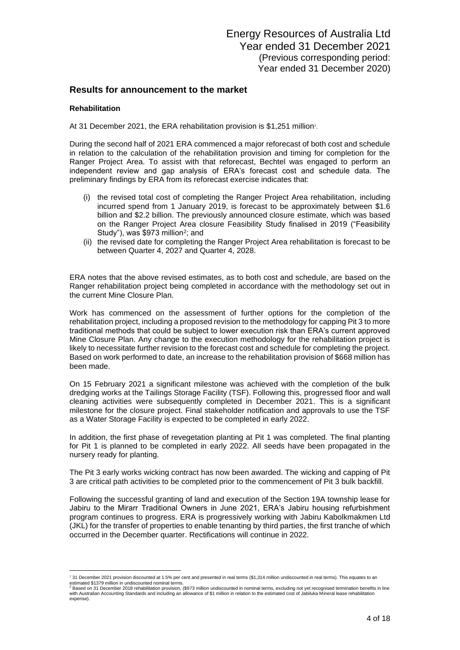#### **Results for announcement to the market**

#### **Rehabilitation**

At 31 December 2021, the ERA rehabilitation provision is \$1,251 million<sup>1</sup>.

During the second half of 2021 ERA commenced a major reforecast of both cost and schedule in relation to the calculation of the rehabilitation provision and timing for completion for the Ranger Project Area. To assist with that reforecast, Bechtel was engaged to perform an independent review and gap analysis of ERA's forecast cost and schedule data. The preliminary findings by ERA from its reforecast exercise indicates that:

- (i) the revised total cost of completing the Ranger Project Area rehabilitation, including incurred spend from 1 January 2019, is forecast to be approximately between \$1.6 billion and \$2.2 billion. The previously announced closure estimate, which was based on the Ranger Project Area closure Feasibility Study finalised in 2019 ("Feasibility Study"), was \$973 million<sup>2</sup>; and
- (ii) the revised date for completing the Ranger Project Area rehabilitation is forecast to be between Quarter 4, 2027 and Quarter 4, 2028.

ERA notes that the above revised estimates, as to both cost and schedule, are based on the Ranger rehabilitation project being completed in accordance with the methodology set out in the current Mine Closure Plan.

Work has commenced on the assessment of further options for the completion of the rehabilitation project, including a proposed revision to the methodology for capping Pit 3 to more traditional methods that could be subject to lower execution risk than ERA's current approved Mine Closure Plan. Any change to the execution methodology for the rehabilitation project is likely to necessitate further revision to the forecast cost and schedule for completing the project. Based on work performed to date, an increase to the rehabilitation provision of \$668 million has been made.

On 15 February 2021 a significant milestone was achieved with the completion of the bulk dredging works at the Tailings Storage Facility (TSF). Following this, progressed floor and wall cleaning activities were subsequently completed in December 2021. This is a significant milestone for the closure project. Final stakeholder notification and approvals to use the TSF as a Water Storage Facility is expected to be completed in early 2022.

In addition, the first phase of revegetation planting at Pit 1 was completed. The final planting for Pit 1 is planned to be completed in early 2022. All seeds have been propagated in the nursery ready for planting.

The Pit 3 early works wicking contract has now been awarded. The wicking and capping of Pit 3 are critical path activities to be completed prior to the commencement of Pit 3 bulk backfill.

Following the successful granting of land and execution of the Section 19A township lease for Jabiru to the Mirarr Traditional Owners in June 2021, ERA's Jabiru housing refurbishment program continues to progress. ERA is progressively working with Jabiru Kabolkmakmen Ltd (JKL) for the transfer of properties to enable tenanting by third parties, the first tranche of which occurred in the December quarter. Rectifications will continue in 2022.

<sup>&</sup>lt;sup>1</sup> 31 December 2021 provision discounted at 1.5% per cent and presented in real terms (\$1,314 million undiscounted in real terms). This equates to an estimated \$1379 million in undiscounted nominal terms.<br><sup>2</sup> Based on 31 December 2018 rehabilitation provision, (\$973 million undiscounted in nominal terms, excluding not yet recognised termination benefits in line

with Australian Accounting Standards and including an allowance of \$1 million in relation to the estimated cost of Jabiluka Mineral lease rehabilitation expense).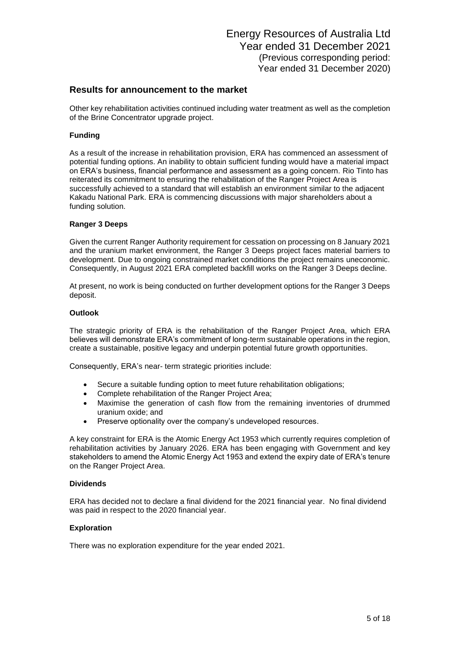#### **Results for announcement to the market**

Other key rehabilitation activities continued including water treatment as well as the completion of the Brine Concentrator upgrade project.

#### **Funding**

As a result of the increase in rehabilitation provision, ERA has commenced an assessment of potential funding options. An inability to obtain sufficient funding would have a material impact on ERA's business, financial performance and assessment as a going concern. Rio Tinto has reiterated its commitment to ensuring the rehabilitation of the Ranger Project Area is successfully achieved to a standard that will establish an environment similar to the adjacent Kakadu National Park. ERA is commencing discussions with major shareholders about a funding solution.

#### **Ranger 3 Deeps**

Given the current Ranger Authority requirement for cessation on processing on 8 January 2021 and the uranium market environment, the Ranger 3 Deeps project faces material barriers to development. Due to ongoing constrained market conditions the project remains uneconomic. Consequently, in August 2021 ERA completed backfill works on the Ranger 3 Deeps decline.

At present, no work is being conducted on further development options for the Ranger 3 Deeps deposit.

#### **Outlook**

The strategic priority of ERA is the rehabilitation of the Ranger Project Area, which ERA believes will demonstrate ERA's commitment of long-term sustainable operations in the region, create a sustainable, positive legacy and underpin potential future growth opportunities.

Consequently, ERA's near- term strategic priorities include:

- Secure a suitable funding option to meet future rehabilitation obligations;
- Complete rehabilitation of the Ranger Project Area;
- Maximise the generation of cash flow from the remaining inventories of drummed uranium oxide; and
- Preserve optionality over the company's undeveloped resources.

A key constraint for ERA is the Atomic Energy Act 1953 which currently requires completion of rehabilitation activities by January 2026. ERA has been engaging with Government and key stakeholders to amend the Atomic Energy Act 1953 and extend the expiry date of ERA's tenure on the Ranger Project Area.

#### **Dividends**

ERA has decided not to declare a final dividend for the 2021 financial year. No final dividend was paid in respect to the 2020 financial year.

#### **Exploration**

There was no exploration expenditure for the year ended 2021.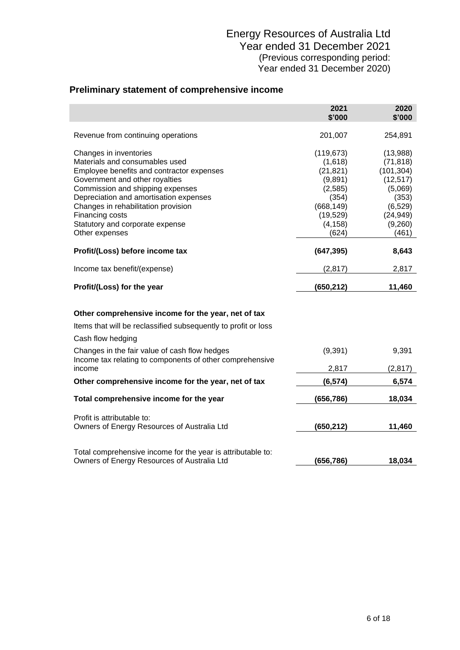## **Preliminary statement of comprehensive income**

|                                                                                                                                                                                                                                                                                                                                      | 2021<br>\$'000                                                                                                    | 2020<br>\$'000                                                                                                    |
|--------------------------------------------------------------------------------------------------------------------------------------------------------------------------------------------------------------------------------------------------------------------------------------------------------------------------------------|-------------------------------------------------------------------------------------------------------------------|-------------------------------------------------------------------------------------------------------------------|
| Revenue from continuing operations                                                                                                                                                                                                                                                                                                   | 201,007                                                                                                           | 254,891                                                                                                           |
| Changes in inventories<br>Materials and consumables used<br>Employee benefits and contractor expenses<br>Government and other royalties<br>Commission and shipping expenses<br>Depreciation and amortisation expenses<br>Changes in rehabilitation provision<br>Financing costs<br>Statutory and corporate expense<br>Other expenses | (119, 673)<br>(1,618)<br>(21, 821)<br>(9,891)<br>(2,585)<br>(354)<br>(668, 149)<br>(19, 529)<br>(4, 158)<br>(624) | (13,988)<br>(71, 818)<br>(101, 304)<br>(12, 517)<br>(5,069)<br>(353)<br>(6, 529)<br>(24, 949)<br>(9,260)<br>(461) |
| Profit/(Loss) before income tax                                                                                                                                                                                                                                                                                                      | (647, 395)                                                                                                        | 8,643                                                                                                             |
| Income tax benefit/(expense)                                                                                                                                                                                                                                                                                                         | (2, 817)                                                                                                          | 2,817                                                                                                             |
| Profit/(Loss) for the year                                                                                                                                                                                                                                                                                                           | (650, 212)                                                                                                        | 11,460                                                                                                            |
| Other comprehensive income for the year, net of tax<br>Items that will be reclassified subsequently to profit or loss<br>Cash flow hedging                                                                                                                                                                                           |                                                                                                                   |                                                                                                                   |
| Changes in the fair value of cash flow hedges<br>Income tax relating to components of other comprehensive<br>income                                                                                                                                                                                                                  | (9,391)<br>2,817                                                                                                  | 9,391<br>(2, 817)                                                                                                 |
| Other comprehensive income for the year, net of tax                                                                                                                                                                                                                                                                                  | (6, 574)                                                                                                          | 6,574                                                                                                             |
| Total comprehensive income for the year                                                                                                                                                                                                                                                                                              | (656, 786)                                                                                                        | 18,034                                                                                                            |
| Profit is attributable to:<br>Owners of Energy Resources of Australia Ltd                                                                                                                                                                                                                                                            | (650, 212)                                                                                                        | 11,460                                                                                                            |
| Total comprehensive income for the year is attributable to:<br>Owners of Energy Resources of Australia Ltd                                                                                                                                                                                                                           | (656, 786)                                                                                                        | 18,034                                                                                                            |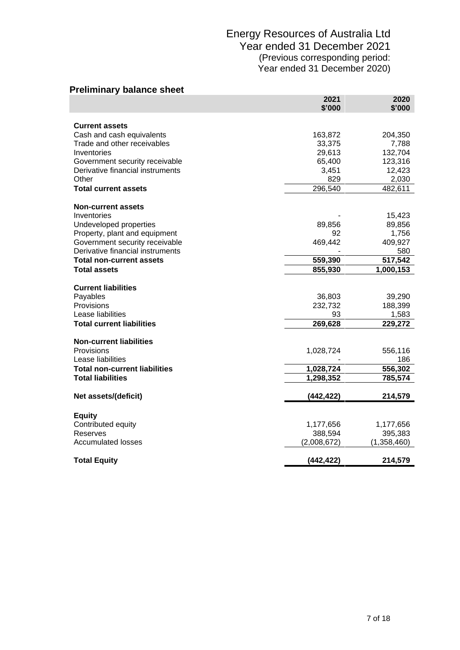| <b>Preliminary balance sheet</b>                   |                |                |
|----------------------------------------------------|----------------|----------------|
|                                                    | 2021<br>\$'000 | 2020<br>\$'000 |
|                                                    |                |                |
| <b>Current assets</b><br>Cash and cash equivalents | 163,872        | 204,350        |
| Trade and other receivables                        | 33,375         | 7,788          |
| Inventories                                        | 29,613         | 132,704        |
| Government security receivable                     | 65,400         | 123,316        |
| Derivative financial instruments                   | 3,451          | 12,423         |
| Other                                              | 829            | 2,030          |
| <b>Total current assets</b>                        | 296,540        | 482,611        |
|                                                    |                |                |
| <b>Non-current assets</b><br>Inventories           |                | 15,423         |
| Undeveloped properties                             | 89,856         | 89,856         |
| Property, plant and equipment                      | 92             | 1,756          |
| Government security receivable                     | 469,442        | 409,927        |
| Derivative financial instruments                   |                | 580            |
| <b>Total non-current assets</b>                    | 559,390        | 517,542        |
| <b>Total assets</b>                                | 855,930        | 1,000,153      |
|                                                    |                |                |
| <b>Current liabilities</b>                         |                |                |
| Payables                                           | 36,803         | 39,290         |
| Provisions                                         | 232,732        | 188,399        |
| Lease liabilities                                  | 93             | 1,583          |
| <b>Total current liabilities</b>                   | 269,628        | 229,272        |
| <b>Non-current liabilities</b>                     |                |                |
| Provisions                                         | 1,028,724      | 556,116        |
| Lease liabilities                                  |                | 186            |
| <b>Total non-current liabilities</b>               | 1,028,724      | 556,302        |
| <b>Total liabilities</b>                           | 1,298,352      | 785,574        |
|                                                    |                |                |
| Net assets/(deficit)                               | (442, 422)     | 214,579        |
| <b>Equity</b>                                      |                |                |
| Contributed equity                                 | 1,177,656      | 1,177,656      |
| Reserves                                           | 388,594        | 395,383        |
| <b>Accumulated losses</b>                          | (2,008,672)    | (1,358,460)    |
| <b>Total Equity</b>                                | (442, 422)     | 214,579        |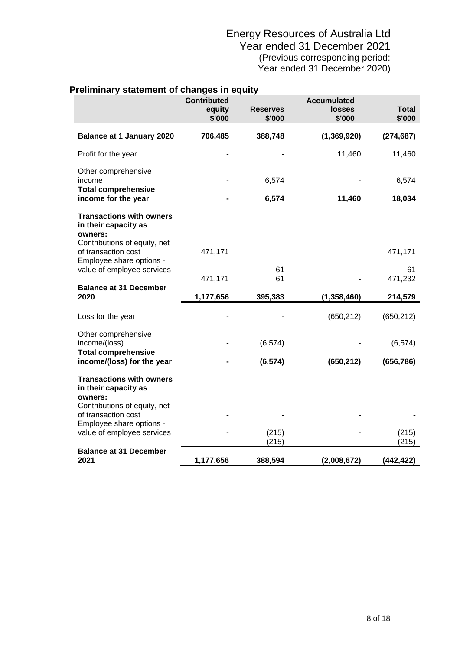| rellminary statement of changes in equity                                                          |                                        |                           |                                               |                 |
|----------------------------------------------------------------------------------------------------|----------------------------------------|---------------------------|-----------------------------------------------|-----------------|
|                                                                                                    | <b>Contributed</b><br>equity<br>\$'000 | <b>Reserves</b><br>\$'000 | <b>Accumulated</b><br><b>losses</b><br>\$'000 | Total<br>\$'000 |
| <b>Balance at 1 January 2020</b>                                                                   | 706,485                                | 388,748                   | (1, 369, 920)                                 | (274, 687)      |
| Profit for the year                                                                                |                                        |                           | 11,460                                        | 11,460          |
| Other comprehensive<br>income                                                                      |                                        | 6,574                     |                                               | 6,574           |
| <b>Total comprehensive</b><br>income for the year                                                  |                                        | 6,574                     | 11,460                                        | 18,034          |
| <b>Transactions with owners</b><br>in their capacity as<br>owners:<br>Contributions of equity, net |                                        |                           |                                               |                 |
| of transaction cost<br>Employee share options -                                                    | 471,171                                |                           |                                               | 471,171         |
| value of employee services                                                                         |                                        | 61                        |                                               | 61              |
|                                                                                                    | 471,171                                | 61                        | $\overline{a}$                                | 471,232         |
| <b>Balance at 31 December</b><br>2020                                                              | 1,177,656                              | 395,383                   | (1, 358, 460)                                 | 214,579         |
| Loss for the year                                                                                  |                                        |                           | (650, 212)                                    | (650, 212)      |
| Other comprehensive<br>income/(loss)                                                               |                                        | (6, 574)                  |                                               | (6, 574)        |
| <b>Total comprehensive</b><br>income/(loss) for the year                                           |                                        | (6, 574)                  | (650, 212)                                    | (656, 786)      |
| <b>Transactions with owners</b><br>in their capacity as<br>owners:<br>Contributions of equity, net |                                        |                           |                                               |                 |
| of transaction cost                                                                                |                                        |                           |                                               |                 |
| Employee share options -<br>value of employee services                                             |                                        | (215)                     |                                               | (215)           |
|                                                                                                    |                                        | (215)                     | ٠                                             | (215)           |
| <b>Balance at 31 December</b><br>2021                                                              | 1,177,656                              | 388,594                   | (2,008,672)                                   | (442, 422)      |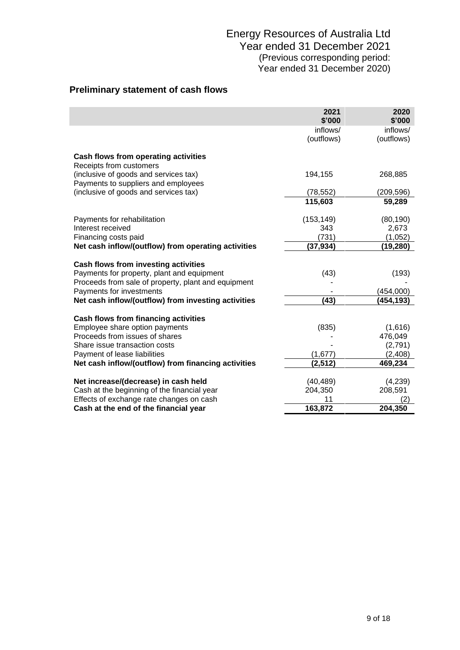## **Preliminary statement of cash flows**

|                                                                                    | 2021<br>\$'000 | 2020<br>\$'000 |
|------------------------------------------------------------------------------------|----------------|----------------|
|                                                                                    | inflows/       | inflows/       |
|                                                                                    | (outflows)     | (outflows)     |
| Cash flows from operating activities<br>Receipts from customers                    |                |                |
| (inclusive of goods and services tax)<br>Payments to suppliers and employees       | 194,155        | 268,885        |
| (inclusive of goods and services tax)                                              | (78, 552)      | (209, 596)     |
|                                                                                    | 115,603        | 59,289         |
| Payments for rehabilitation                                                        | (153, 149)     | (80, 190)      |
| Interest received                                                                  | 343            | 2,673          |
| Financing costs paid                                                               | (731)          | (1,052)        |
| Net cash inflow/(outflow) from operating activities                                | (37, 934)      | (19,280)       |
|                                                                                    |                |                |
| Cash flows from investing activities<br>Payments for property, plant and equipment | (43)           | (193)          |
| Proceeds from sale of property, plant and equipment                                |                |                |
| Payments for investments                                                           |                | (454,000)      |
| Net cash inflow/(outflow) from investing activities                                | (43)           | (454,193)      |
|                                                                                    |                |                |
| Cash flows from financing activities                                               |                |                |
| Employee share option payments                                                     | (835)          | (1,616)        |
| Proceeds from issues of shares                                                     |                | 476,049        |
| Share issue transaction costs                                                      |                | (2,791)        |
| Payment of lease liabilities                                                       | (1,677)        | (2, 408)       |
| Net cash inflow/(outflow) from financing activities                                | (2,512)        | 469,234        |
| Net increase/(decrease) in cash held                                               | (40, 489)      | (4,239)        |
| Cash at the beginning of the financial year                                        | 204,350        | 208,591        |
| Effects of exchange rate changes on cash                                           | 11             | (2)            |
| Cash at the end of the financial year                                              | 163,872        | 204,350        |
|                                                                                    |                |                |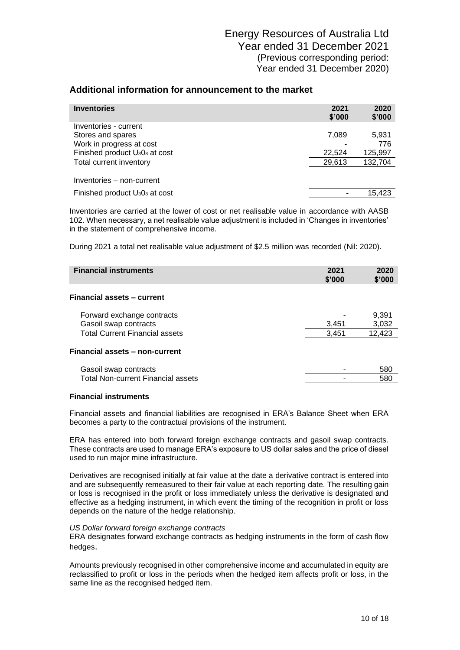| <b>Inventories</b>                                     | 2021<br>\$'000 | 2020<br>\$'000 |
|--------------------------------------------------------|----------------|----------------|
| Inventories - current                                  |                |                |
| Stores and spares                                      | 7,089          | 5,931          |
| Work in progress at cost                               |                | 776            |
| Finished product U <sub>3</sub> 0 <sub>8</sub> at cost | 22,524         | 125,997        |
| Total current inventory                                | 29,613         | 132,704        |
| Inventories – non-current                              |                |                |
| Finished product U <sub>3</sub> 0 <sub>8</sub> at cost |                | 15.423         |
|                                                        |                |                |

Inventories are carried at the lower of cost or net realisable value in accordance with AASB 102. When necessary, a net realisable value adjustment is included in 'Changes in inventories' in the statement of comprehensive income.

During 2021 a total net realisable value adjustment of \$2.5 million was recorded (Nil: 2020).

| <b>Financial instruments</b>                                   | 2021<br>\$'000 | 2020<br>\$'000  |
|----------------------------------------------------------------|----------------|-----------------|
| <b>Financial assets - current</b>                              |                |                 |
| Forward exchange contracts                                     |                | 9,391           |
| Gasoil swap contracts<br><b>Total Current Financial assets</b> | 3,451<br>3.451 | 3,032<br>12,423 |
| Financial assets - non-current                                 |                |                 |
| Gasoil swap contracts                                          |                | 580             |
| <b>Total Non-current Financial assets</b>                      |                | 580             |

#### **Financial instruments**

Financial assets and financial liabilities are recognised in ERA's Balance Sheet when ERA becomes a party to the contractual provisions of the instrument.

ERA has entered into both forward foreign exchange contracts and gasoil swap contracts. These contracts are used to manage ERA's exposure to US dollar sales and the price of diesel used to run major mine infrastructure.

Derivatives are recognised initially at fair value at the date a derivative contract is entered into and are subsequently remeasured to their fair value at each reporting date. The resulting gain or loss is recognised in the profit or loss immediately unless the derivative is designated and effective as a hedging instrument, in which event the timing of the recognition in profit or loss depends on the nature of the hedge relationship.

#### *US Dollar forward foreign exchange contracts*

ERA designates forward exchange contracts as hedging instruments in the form of cash flow hedges.

Amounts previously recognised in other comprehensive income and accumulated in equity are reclassified to profit or loss in the periods when the hedged item affects profit or loss, in the same line as the recognised hedged item.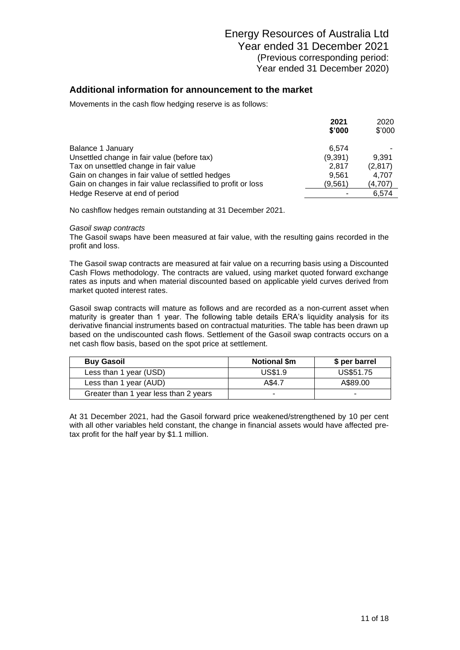Movements in the cash flow hedging reserve is as follows:

|                                                              | 2021    | 2020    |
|--------------------------------------------------------------|---------|---------|
|                                                              | \$'000  | \$'000  |
| Balance 1 January                                            | 6.574   |         |
| Unsettled change in fair value (before tax)                  | (9,391) | 9.391   |
| Tax on unsettled change in fair value                        | 2.817   | (2,817) |
| Gain on changes in fair value of settled hedges              | 9.561   | 4.707   |
| Gain on changes in fair value reclassified to profit or loss | (9,561) | (4,707) |
| Hedge Reserve at end of period                               |         | 6.574   |

No cashflow hedges remain outstanding at 31 December 2021.

#### *Gasoil swap contracts*

The Gasoil swaps have been measured at fair value, with the resulting gains recorded in the profit and loss.

The Gasoil swap contracts are measured at fair value on a recurring basis using a Discounted Cash Flows methodology. The contracts are valued, using market quoted forward exchange rates as inputs and when material discounted based on applicable yield curves derived from market quoted interest rates.

Gasoil swap contracts will mature as follows and are recorded as a non-current asset when maturity is greater than 1 year. The following table details ERA's liquidity analysis for its derivative financial instruments based on contractual maturities. The table has been drawn up based on the undiscounted cash flows. Settlement of the Gasoil swap contracts occurs on a net cash flow basis, based on the spot price at settlement.

| <b>Buy Gasoil</b>                     | <b>Notional \$m</b> | \$ per barrel |
|---------------------------------------|---------------------|---------------|
| Less than 1 year (USD)                | US\$1.9             | US\$51.75     |
| Less than 1 year (AUD)                | A\$4.7              | A\$89.00      |
| Greater than 1 year less than 2 years | -                   |               |

At 31 December 2021, had the Gasoil forward price weakened/strengthened by 10 per cent with all other variables held constant, the change in financial assets would have affected pretax profit for the half year by \$1.1 million.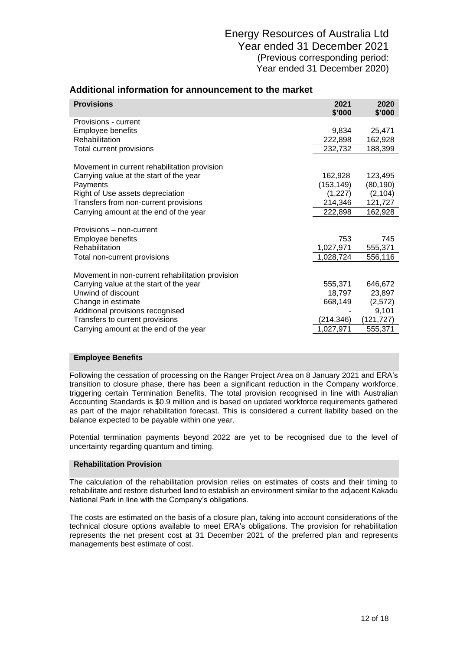| <b>Provisions</b>                                | 2021<br>\$'000 | 2020<br>\$'000 |
|--------------------------------------------------|----------------|----------------|
| Provisions - current                             |                |                |
| Employee benefits                                | 9,834          | 25,471         |
| Rehabilitation                                   | 222,898        | 162,928        |
| Total current provisions                         | 232,732        | 188,399        |
| Movement in current rehabilitation provision     |                |                |
| Carrying value at the start of the year          | 162,928        | 123,495        |
| Payments                                         | (153, 149)     | (80, 190)      |
| Right of Use assets depreciation                 | (1,227)        | (2, 104)       |
| Transfers from non-current provisions            | 214,346        | 121,727        |
| Carrying amount at the end of the year           | 222,898        | 162,928        |
| Provisions – non-current                         |                |                |
| Employee benefits                                | 753            | 745            |
| Rehabilitation                                   | 1,027,971      | 555,371        |
| Total non-current provisions                     | 1,028,724      | 556,116        |
| Movement in non-current rehabilitation provision |                |                |
| Carrying value at the start of the year          | 555,371        | 646,672        |
| Unwind of discount                               | 18,797         | 23,897         |
| Change in estimate                               | 668,149        | (2,572)        |
| Additional provisions recognised                 |                | 9,101          |
| Transfers to current provisions                  | (214,346)      | (121,727)      |
| Carrying amount at the end of the year           | 1,027,971      | 555,371        |

### **Additional information for announcement to the market**

#### **Employee Benefits**

Following the cessation of processing on the Ranger Project Area on 8 January 2021 and ERA's transition to closure phase, there has been a significant reduction in the Company workforce, triggering certain Termination Benefits. The total provision recognised in line with Australian Accounting Standards is \$0.9 million and is based on updated workforce requirements gathered as part of the major rehabilitation forecast. This is considered a current liability based on the balance expected to be payable within one year.

Potential termination payments beyond 2022 are yet to be recognised due to the level of uncertainty regarding quantum and timing.

#### **Rehabilitation Provision**

The calculation of the rehabilitation provision relies on estimates of costs and their timing to rehabilitate and restore disturbed land to establish an environment similar to the adjacent Kakadu National Park in line with the Company's obligations.

The costs are estimated on the basis of a closure plan, taking into account considerations of the technical closure options available to meet ERA's obligations. The provision for rehabilitation represents the net present cost at 31 December 2021 of the preferred plan and represents managements best estimate of cost.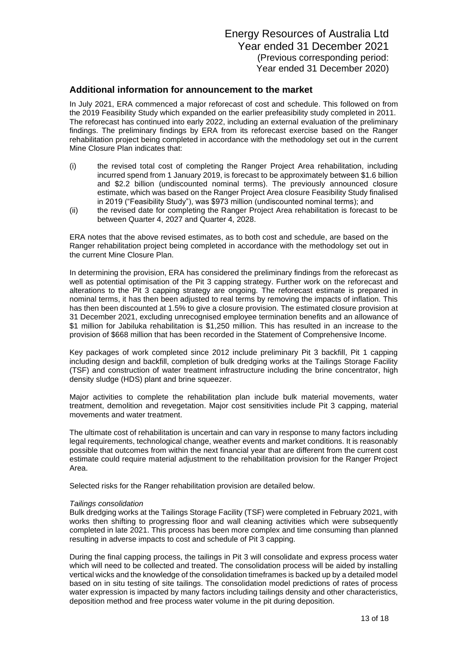In July 2021, ERA commenced a major reforecast of cost and schedule. This followed on from the 2019 Feasibility Study which expanded on the earlier prefeasibility study completed in 2011. The reforecast has continued into early 2022, including an external evaluation of the preliminary findings. The preliminary findings by ERA from its reforecast exercise based on the Ranger rehabilitation project being completed in accordance with the methodology set out in the current Mine Closure Plan indicates that:

- (i) the revised total cost of completing the Ranger Project Area rehabilitation, including incurred spend from 1 January 2019, is forecast to be approximately between \$1.6 billion and \$2.2 billion (undiscounted nominal terms). The previously announced closure estimate, which was based on the Ranger Project Area closure Feasibility Study finalised in 2019 ("Feasibility Study"), was \$973 million (undiscounted nominal terms); and
- (ii) the revised date for completing the Ranger Project Area rehabilitation is forecast to be between Quarter 4, 2027 and Quarter 4, 2028.

ERA notes that the above revised estimates, as to both cost and schedule, are based on the Ranger rehabilitation project being completed in accordance with the methodology set out in the current Mine Closure Plan.

In determining the provision, ERA has considered the preliminary findings from the reforecast as well as potential optimisation of the Pit 3 capping strategy. Further work on the reforecast and alterations to the Pit 3 capping strategy are ongoing. The reforecast estimate is prepared in nominal terms, it has then been adjusted to real terms by removing the impacts of inflation. This has then been discounted at 1.5% to give a closure provision. The estimated closure provision at 31 December 2021, excluding unrecognised employee termination benefits and an allowance of \$1 million for Jabiluka rehabilitation is \$1,250 million. This has resulted in an increase to the provision of \$668 million that has been recorded in the Statement of Comprehensive Income.

Key packages of work completed since 2012 include preliminary Pit 3 backfill, Pit 1 capping including design and backfill, completion of bulk dredging works at the Tailings Storage Facility (TSF) and construction of water treatment infrastructure including the brine concentrator, high density sludge (HDS) plant and brine squeezer.

Major activities to complete the rehabilitation plan include bulk material movements, water treatment, demolition and revegetation. Major cost sensitivities include Pit 3 capping, material movements and water treatment.

The ultimate cost of rehabilitation is uncertain and can vary in response to many factors including legal requirements, technological change, weather events and market conditions. It is reasonably possible that outcomes from within the next financial year that are different from the current cost estimate could require material adjustment to the rehabilitation provision for the Ranger Project Area.

Selected risks for the Ranger rehabilitation provision are detailed below.

#### *Tailings consolidation*

Bulk dredging works at the Tailings Storage Facility (TSF) were completed in February 2021, with works then shifting to progressing floor and wall cleaning activities which were subsequently completed in late 2021. This process has been more complex and time consuming than planned resulting in adverse impacts to cost and schedule of Pit 3 capping.

During the final capping process, the tailings in Pit 3 will consolidate and express process water which will need to be collected and treated. The consolidation process will be aided by installing vertical wicks and the knowledge of the consolidation timeframes is backed up by a detailed model based on in situ testing of site tailings. The consolidation model predictions of rates of process water expression is impacted by many factors including tailings density and other characteristics, deposition method and free process water volume in the pit during deposition.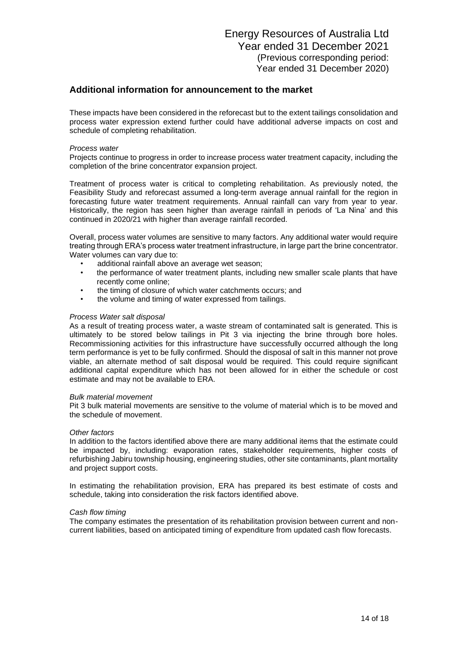These impacts have been considered in the reforecast but to the extent tailings consolidation and process water expression extend further could have additional adverse impacts on cost and schedule of completing rehabilitation.

#### *Process water*

Projects continue to progress in order to increase process water treatment capacity, including the completion of the brine concentrator expansion project.

Treatment of process water is critical to completing rehabilitation. As previously noted, the Feasibility Study and reforecast assumed a long-term average annual rainfall for the region in forecasting future water treatment requirements. Annual rainfall can vary from year to year. Historically, the region has seen higher than average rainfall in periods of 'La Nina' and this continued in 2020/21 with higher than average rainfall recorded.

Overall, process water volumes are sensitive to many factors. Any additional water would require treating through ERA's process water treatment infrastructure, in large part the brine concentrator. Water volumes can vary due to:

- additional rainfall above an average wet season;
- the performance of water treatment plants, including new smaller scale plants that have recently come online;
- the timing of closure of which water catchments occurs; and
- the volume and timing of water expressed from tailings.

#### *Process Water salt disposal*

As a result of treating process water, a waste stream of contaminated salt is generated. This is ultimately to be stored below tailings in Pit 3 via injecting the brine through bore holes. Recommissioning activities for this infrastructure have successfully occurred although the long term performance is yet to be fully confirmed. Should the disposal of salt in this manner not prove viable, an alternate method of salt disposal would be required. This could require significant additional capital expenditure which has not been allowed for in either the schedule or cost estimate and may not be available to ERA.

#### *Bulk material movement*

Pit 3 bulk material movements are sensitive to the volume of material which is to be moved and the schedule of movement.

#### *Other factors*

In addition to the factors identified above there are many additional items that the estimate could be impacted by, including: evaporation rates, stakeholder requirements, higher costs of refurbishing Jabiru township housing, engineering studies, other site contaminants, plant mortality and project support costs.

In estimating the rehabilitation provision, ERA has prepared its best estimate of costs and schedule, taking into consideration the risk factors identified above.

#### *Cash flow timing*

The company estimates the presentation of its rehabilitation provision between current and noncurrent liabilities, based on anticipated timing of expenditure from updated cash flow forecasts.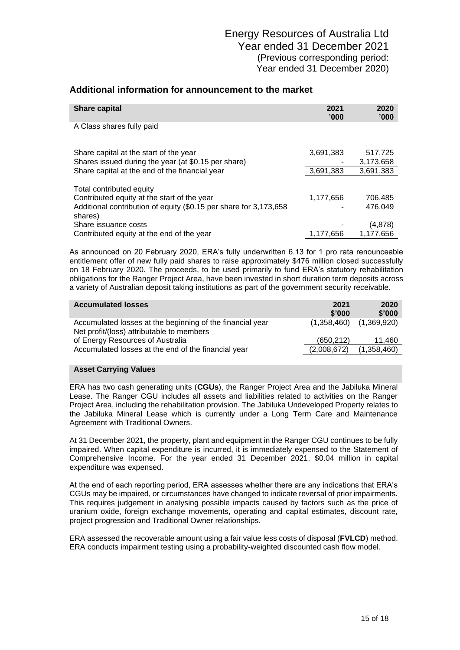| <b>Share capital</b>                                                                                             | 2021<br>'000' | 2020<br>'000'      |
|------------------------------------------------------------------------------------------------------------------|---------------|--------------------|
| A Class shares fully paid                                                                                        |               |                    |
| Share capital at the start of the year                                                                           | 3,691,383     | 517,725            |
| Shares issued during the year (at \$0.15 per share)                                                              |               | 3,173,658          |
| Share capital at the end of the financial year                                                                   | 3,691,383     | 3,691,383          |
| Total contributed equity                                                                                         |               |                    |
| Contributed equity at the start of the year<br>Additional contribution of equity (\$0.15 per share for 3,173,658 | 1,177,656     | 706,485<br>476.049 |
| shares)                                                                                                          |               |                    |
| Share issuance costs                                                                                             |               | (4,878)            |
| Contributed equity at the end of the year                                                                        | 1,177,656     | 1.177.656          |

As announced on 20 February 2020, ERA's fully underwritten 6.13 for 1 pro rata renounceable entitlement offer of new fully paid shares to raise approximately \$476 million closed successfully on 18 February 2020. The proceeds, to be used primarily to fund ERA's statutory rehabilitation obligations for the Ranger Project Area, have been invested in short duration term deposits across a variety of Australian deposit taking institutions as part of the government security receivable.

| <b>Accumulated losses</b>                                                                              | 2021<br>\$'000 | 2020<br>\$'000              |
|--------------------------------------------------------------------------------------------------------|----------------|-----------------------------|
| Accumulated losses at the beginning of the financial year<br>Net profit/(loss) attributable to members |                | $(1,358,460)$ $(1,369,920)$ |
| of Energy Resources of Australia                                                                       | (650, 212)     | 11.460                      |
| Accumulated losses at the end of the financial year                                                    | (2,008,672)    | (1,358,460)                 |

#### **Asset Carrying Values**

ERA has two cash generating units (**CGUs**), the Ranger Project Area and the Jabiluka Mineral Lease. The Ranger CGU includes all assets and liabilities related to activities on the Ranger Project Area, including the rehabilitation provision. The Jabiluka Undeveloped Property relates to the Jabiluka Mineral Lease which is currently under a Long Term Care and Maintenance Agreement with Traditional Owners.

At 31 December 2021, the property, plant and equipment in the Ranger CGU continues to be fully impaired. When capital expenditure is incurred, it is immediately expensed to the Statement of Comprehensive Income. For the year ended 31 December 2021, \$0.04 million in capital expenditure was expensed.

At the end of each reporting period, ERA assesses whether there are any indications that ERA's CGUs may be impaired, or circumstances have changed to indicate reversal of prior impairments. This requires judgement in analysing possible impacts caused by factors such as the price of uranium oxide, foreign exchange movements, operating and capital estimates, discount rate, project progression and Traditional Owner relationships.

ERA assessed the recoverable amount using a fair value less costs of disposal (**FVLCD**) method. ERA conducts impairment testing using a probability-weighted discounted cash flow model.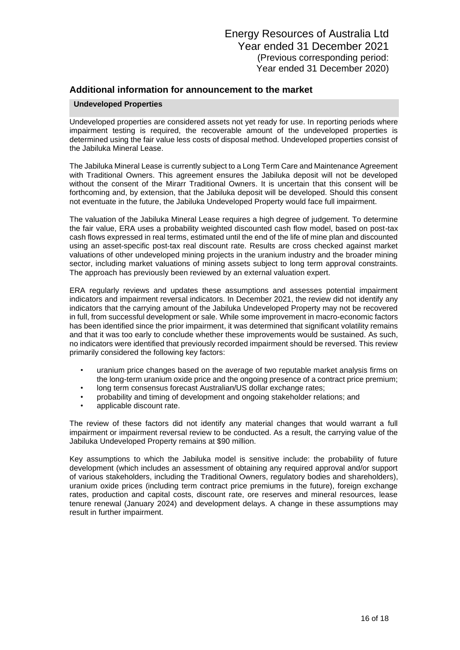#### **Undeveloped Properties**

Undeveloped properties are considered assets not yet ready for use. In reporting periods where impairment testing is required, the recoverable amount of the undeveloped properties is determined using the fair value less costs of disposal method. Undeveloped properties consist of the Jabiluka Mineral Lease.

The Jabiluka Mineral Lease is currently subject to a Long Term Care and Maintenance Agreement with Traditional Owners. This agreement ensures the Jabiluka deposit will not be developed without the consent of the Mirarr Traditional Owners. It is uncertain that this consent will be forthcoming and, by extension, that the Jabiluka deposit will be developed. Should this consent not eventuate in the future, the Jabiluka Undeveloped Property would face full impairment.

The valuation of the Jabiluka Mineral Lease requires a high degree of judgement. To determine the fair value, ERA uses a probability weighted discounted cash flow model, based on post-tax cash flows expressed in real terms, estimated until the end of the life of mine plan and discounted using an asset-specific post-tax real discount rate. Results are cross checked against market valuations of other undeveloped mining projects in the uranium industry and the broader mining sector, including market valuations of mining assets subject to long term approval constraints. The approach has previously been reviewed by an external valuation expert.

ERA regularly reviews and updates these assumptions and assesses potential impairment indicators and impairment reversal indicators. In December 2021, the review did not identify any indicators that the carrying amount of the Jabiluka Undeveloped Property may not be recovered in full, from successful development or sale. While some improvement in macro-economic factors has been identified since the prior impairment, it was determined that significant volatility remains and that it was too early to conclude whether these improvements would be sustained. As such, no indicators were identified that previously recorded impairment should be reversed. This review primarily considered the following key factors:

- uranium price changes based on the average of two reputable market analysis firms on the long-term uranium oxide price and the ongoing presence of a contract price premium;
- long term consensus forecast Australian/US dollar exchange rates;
- probability and timing of development and ongoing stakeholder relations; and
- applicable discount rate.

The review of these factors did not identify any material changes that would warrant a full impairment or impairment reversal review to be conducted. As a result, the carrying value of the Jabiluka Undeveloped Property remains at \$90 million.

Key assumptions to which the Jabiluka model is sensitive include: the probability of future development (which includes an assessment of obtaining any required approval and/or support of various stakeholders, including the Traditional Owners, regulatory bodies and shareholders), uranium oxide prices (including term contract price premiums in the future), foreign exchange rates, production and capital costs, discount rate, ore reserves and mineral resources, lease tenure renewal (January 2024) and development delays. A change in these assumptions may result in further impairment.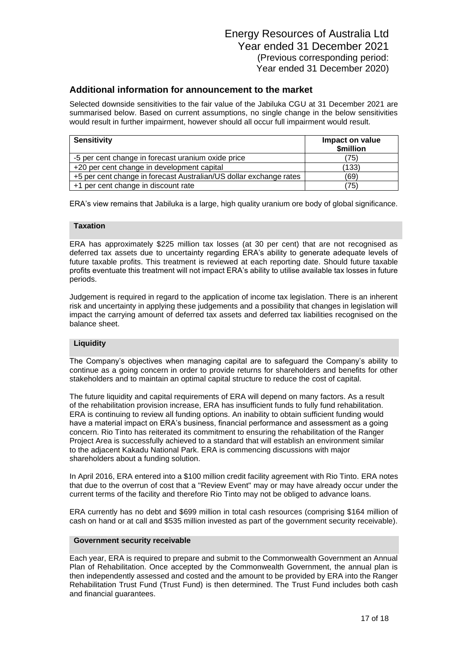Selected downside sensitivities to the fair value of the Jabiluka CGU at 31 December 2021 are summarised below. Based on current assumptions, no single change in the below sensitivities would result in further impairment, however should all occur full impairment would result.

| <b>Sensitivity</b>                                                 | Impact on value<br>\$million |
|--------------------------------------------------------------------|------------------------------|
| -5 per cent change in forecast uranium oxide price                 | (75)                         |
| +20 per cent change in development capital                         | (133)                        |
| +5 per cent change in forecast Australian/US dollar exchange rates | (69)                         |
| +1 per cent change in discount rate                                | (75)                         |

ERA's view remains that Jabiluka is a large, high quality uranium ore body of global significance.

#### **Taxation**

ERA has approximately \$225 million tax losses (at 30 per cent) that are not recognised as deferred tax assets due to uncertainty regarding ERA's ability to generate adequate levels of future taxable profits. This treatment is reviewed at each reporting date. Should future taxable profits eventuate this treatment will not impact ERA's ability to utilise available tax losses in future periods.

Judgement is required in regard to the application of income tax legislation. There is an inherent risk and uncertainty in applying these judgements and a possibility that changes in legislation will impact the carrying amount of deferred tax assets and deferred tax liabilities recognised on the balance sheet.

#### **Liquidity**

The Company's objectives when managing capital are to safeguard the Company's ability to continue as a going concern in order to provide returns for shareholders and benefits for other stakeholders and to maintain an optimal capital structure to reduce the cost of capital.

The future liquidity and capital requirements of ERA will depend on many factors. As a result of the rehabilitation provision increase, ERA has insufficient funds to fully fund rehabilitation. ERA is continuing to review all funding options. An inability to obtain sufficient funding would have a material impact on ERA's business, financial performance and assessment as a going concern. Rio Tinto has reiterated its commitment to ensuring the rehabilitation of the Ranger Project Area is successfully achieved to a standard that will establish an environment similar to the adjacent Kakadu National Park. ERA is commencing discussions with major shareholders about a funding solution.

In April 2016, ERA entered into a \$100 million credit facility agreement with Rio Tinto. ERA notes that due to the overrun of cost that a "Review Event" may or may have already occur under the current terms of the facility and therefore Rio Tinto may not be obliged to advance loans.

ERA currently has no debt and \$699 million in total cash resources (comprising \$164 million of cash on hand or at call and \$535 million invested as part of the government security receivable).

#### **Government security receivable**

Each year, ERA is required to prepare and submit to the Commonwealth Government an Annual Plan of Rehabilitation. Once accepted by the Commonwealth Government, the annual plan is then independently assessed and costed and the amount to be provided by ERA into the Ranger Rehabilitation Trust Fund (Trust Fund) is then determined. The Trust Fund includes both cash and financial guarantees.